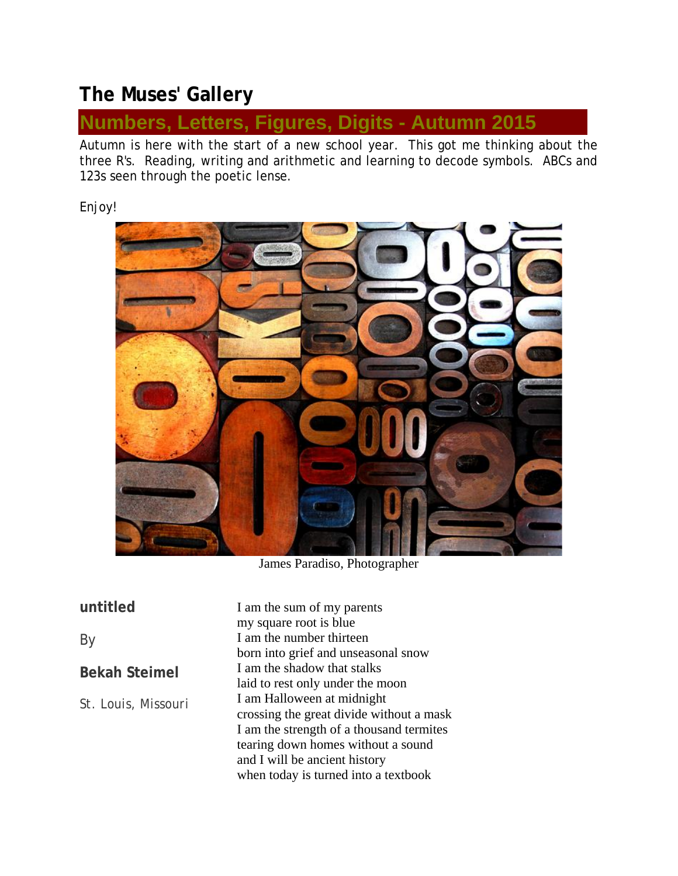# **The Muses' Gallery**

## **Numbers, Letters, Figures, Digits - Autumn 2015**

Autumn is here with the start of a new school year. This got me thinking about the three R's. Reading, writing and arithmetic and learning to decode symbols. ABCs and 123s seen through the poetic lense.

Enjoy!



James Paradiso, Photographer

**untitled**

By

**Bekah Steimel**

*St. Louis, Missouri*

I am the sum of my parents my square root is blue I am the number thirteen born into grief and unseasonal snow I am the shadow that stalks laid to rest only under the moon I am Halloween at midnight crossing the great divide without a mask I am the strength of a thousand termites tearing down homes without a sound and I will be ancient history when today is turned into a textbook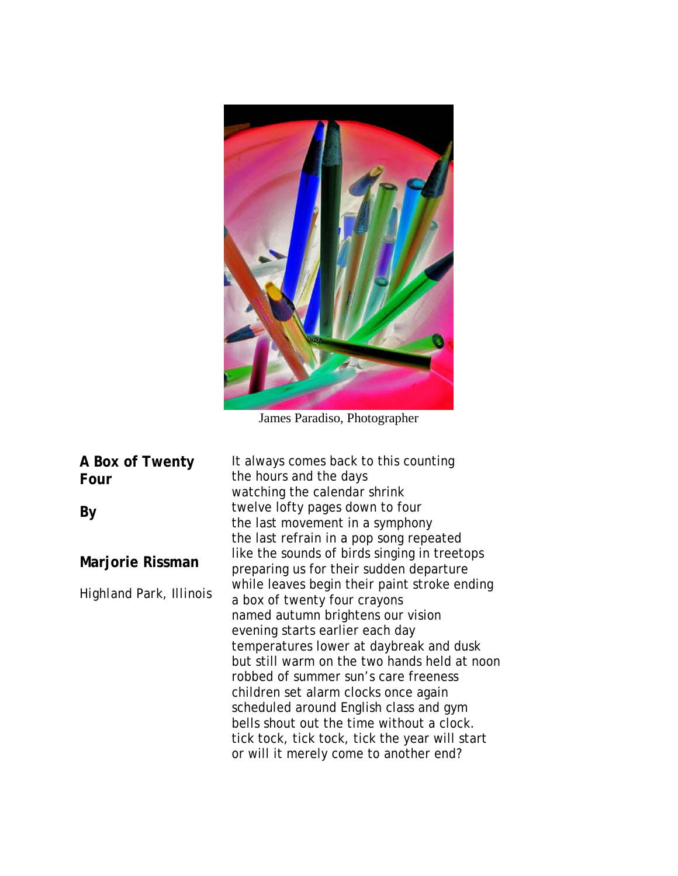

James Paradiso, Photographer

**A Box of Twenty Four**

**By**

**Marjorie Rissman**

*Highland Park, Illinois* 

It always comes back to this counting the hours and the days watching the calendar shrink twelve lofty pages down to four the last movement in a symphony the last refrain in a pop song repeated like the sounds of birds singing in treetops preparing us for their sudden departure while leaves begin their paint stroke ending a box of twenty four crayons named autumn brightens our vision evening starts earlier each day temperatures lower at daybreak and dusk but still warm on the two hands held at noon robbed of summer sun's care freeness children set alarm clocks once again scheduled around English class and gym bells shout out the time without a clock. tick tock, tick tock, tick the year will start or will it merely come to another end?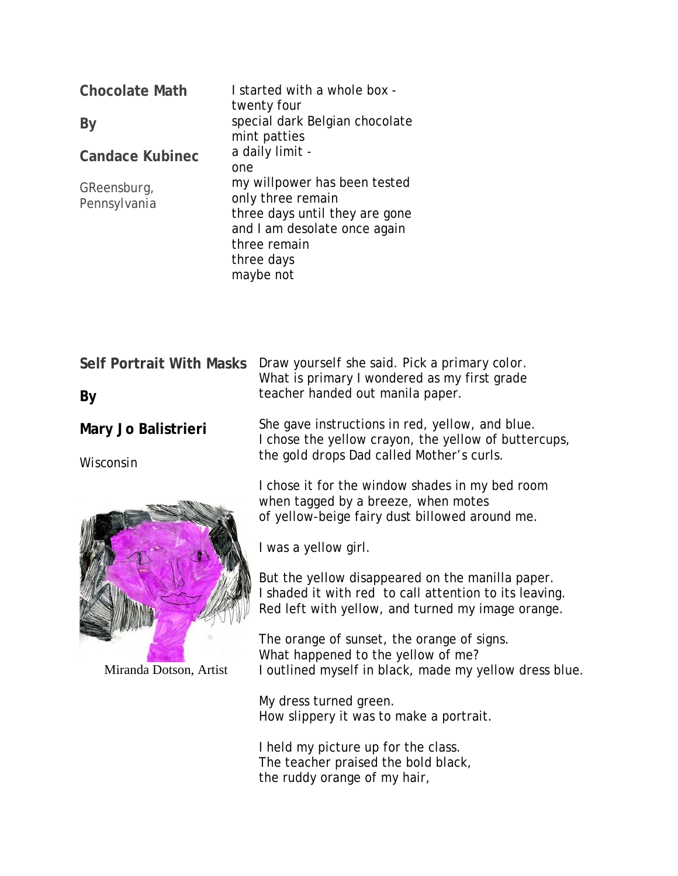| <b>Chocolate Math</b>       | I started with a whole box -<br>twenty four                                                                                                                    |
|-----------------------------|----------------------------------------------------------------------------------------------------------------------------------------------------------------|
| By                          | special dark Belgian chocolate<br>mint patties                                                                                                                 |
| <b>Candace Kubinec</b>      | a daily limit -<br>one                                                                                                                                         |
| GReensburg,<br>Pennsylvania | my willpower has been tested<br>only three remain<br>three days until they are gone<br>and I am desolate once again<br>three remain<br>three days<br>maybe not |

| <b>Self Portrait With Masks</b><br>By | Draw yourself she said. Pick a primary color.<br>What is primary I wondered as my first grade<br>teacher handed out manila paper.                               |
|---------------------------------------|-----------------------------------------------------------------------------------------------------------------------------------------------------------------|
| Mary Jo Balistrieri<br>Wisconsin      | She gave instructions in red, yellow, and blue.<br>I chose the yellow crayon, the yellow of buttercups,<br>the gold drops Dad called Mother's curls.            |
|                                       | I chose it for the window shades in my bed room<br>when tagged by a breeze, when motes<br>of yellow-beige fairy dust billowed around me.                        |
|                                       | I was a yellow girl.                                                                                                                                            |
| Miranda Dotson, Artist                | But the yellow disappeared on the manilla paper.<br>I shaded it with red to call attention to its leaving.<br>Red left with yellow, and turned my image orange. |
|                                       | The orange of sunset, the orange of signs.<br>What happened to the yellow of me?<br>I outlined myself in black, made my yellow dress blue.                      |
|                                       | My dress turned green.<br>How slippery it was to make a portrait.                                                                                               |
|                                       | I held my picture up for the class.<br>The teacher praised the bold black,<br>the ruddy orange of my hair,                                                      |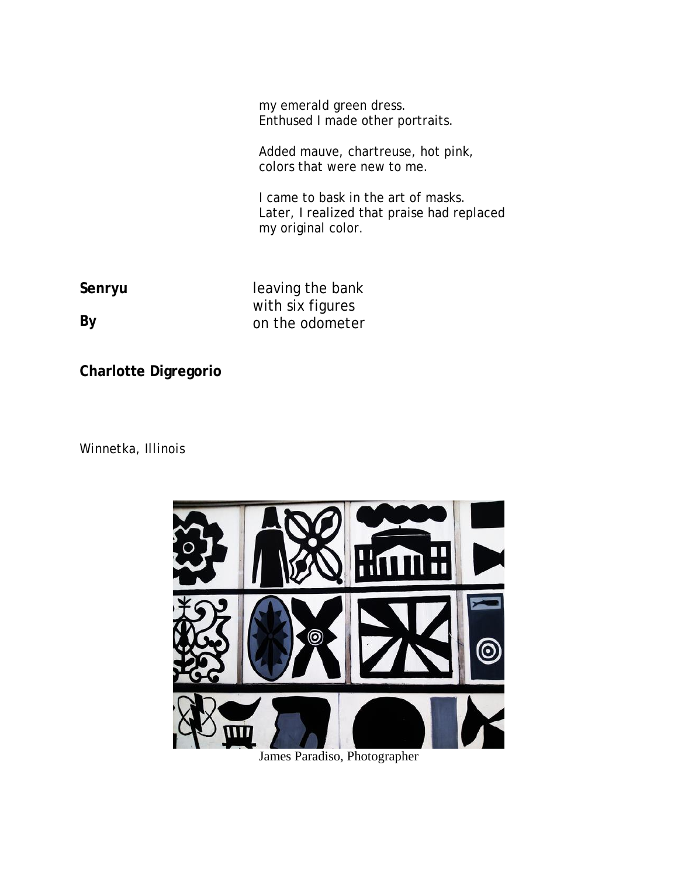my emerald green dress. Enthused I made other portraits.

Added mauve, chartreuse, hot pink, colors that were new to me.

I came to bask in the art of masks. Later, I realized that praise had replaced my original color.

**Senryu**

**By**

leaving the bank with six figures on the odometer

**Charlotte Digregorio**

*Winnetka, Illinois*



James Paradiso, Photographer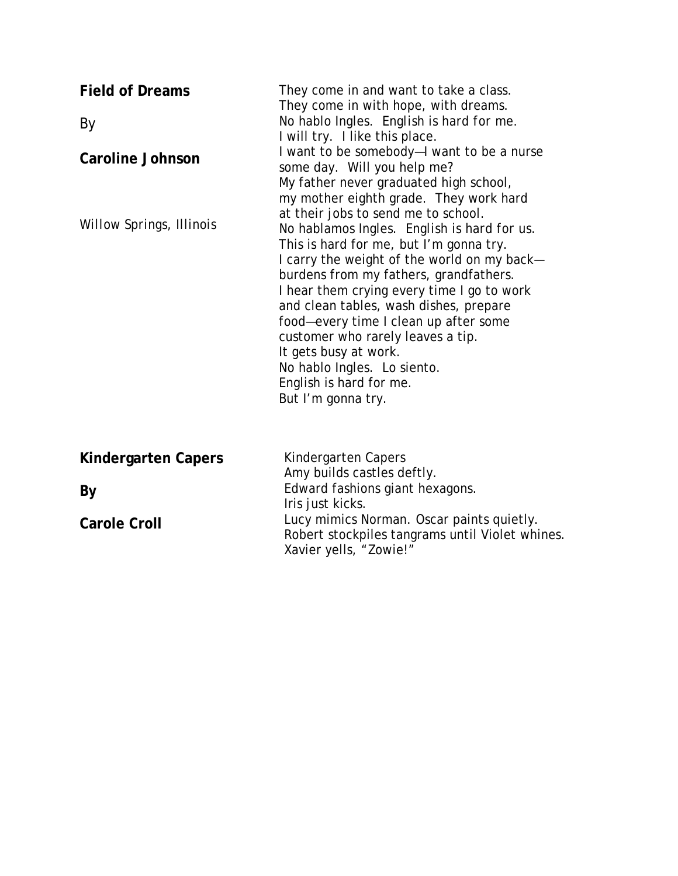| <b>Field of Dreams</b><br>By<br><b>Caroline Johnson</b> | They come in and want to take a class.<br>They come in with hope, with dreams.<br>No hablo Ingles. English is hard for me.<br>I will try. I like this place.<br>I want to be somebody-I want to be a nurse<br>some day. Will you help me?<br>My father never graduated high school,<br>my mother eighth grade. They work hard<br>at their jobs to send me to school.<br>No hablamos Ingles. English is hard for us.<br>This is hard for me, but I'm gonna try.<br>I carry the weight of the world on my back-<br>burdens from my fathers, grandfathers.<br>I hear them crying every time I go to work<br>and clean tables, wash dishes, prepare<br>food-every time I clean up after some<br>customer who rarely leaves a tip.<br>It gets busy at work.<br>No hablo Ingles. Lo siento.<br>English is hard for me.<br>But I'm gonna try. |
|---------------------------------------------------------|----------------------------------------------------------------------------------------------------------------------------------------------------------------------------------------------------------------------------------------------------------------------------------------------------------------------------------------------------------------------------------------------------------------------------------------------------------------------------------------------------------------------------------------------------------------------------------------------------------------------------------------------------------------------------------------------------------------------------------------------------------------------------------------------------------------------------------------|
| Willow Springs, Illinois                                |                                                                                                                                                                                                                                                                                                                                                                                                                                                                                                                                                                                                                                                                                                                                                                                                                                        |
| Kindergarten Capers<br>By<br><b>Carole Croll</b>        | Kindergarten Capers<br>Amy builds castles deftly.<br>Edward fashions giant hexagons.<br>Iris just kicks.<br>Lucy mimics Norman. Oscar paints quietly.<br>Robert stockpiles tangrams until Violet whines.<br>Xavier yells, "Zowie!"                                                                                                                                                                                                                                                                                                                                                                                                                                                                                                                                                                                                     |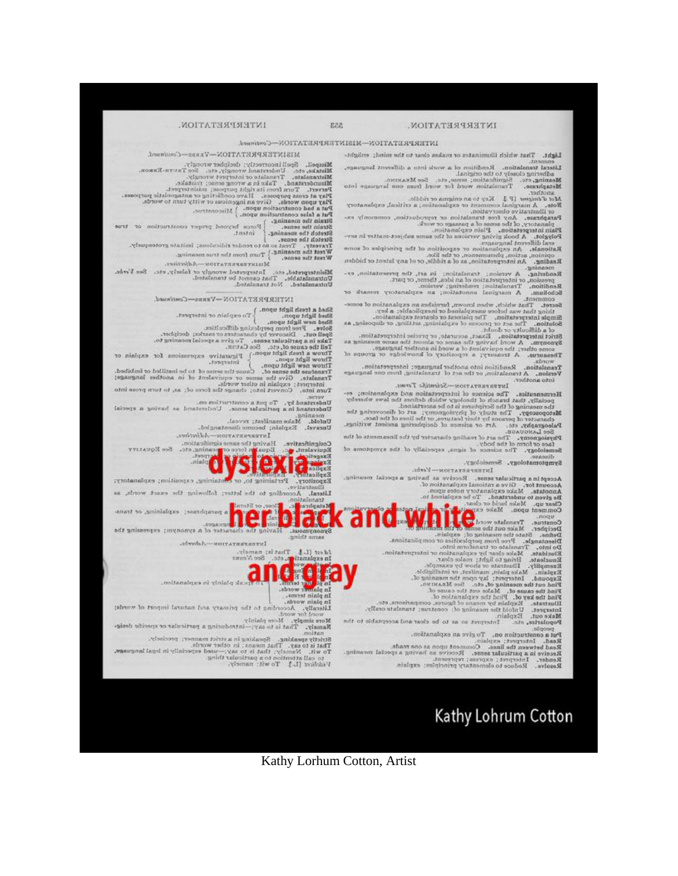Tuta is the consumer, and the construction of the construction of transfer<br>Strain the sense, ...<br>Strain the sense, ...<br>Strain the sense, ...<br>Strain the sense, ...<br>Travesty, Treat so as to render ridiculous; imitate grotesq

Misinterpreted, etc. Interpreted wrongly or falsely, etc. See Verde.<br>Unitamilatable, That cannot be translated.<br>Unitamilatable. Not translated. INTERPRETATION-VERS-Continued.

Shad a fresh livering to  $\sim$  Continued.<br>
Shad a fresh light upon.  $\frac{1}{2}$ To explain of interpret.<br>
Shad light upon.  $\frac{1}{2}$ To explain of interpret.<br>
Shad light upon.  $\frac{1}{2}$ To explain of interpret.<br>
Shad sing the s

- versuand by, To put a construction on.<br>Understand by, To put a construction on .<br>Understand in a particular sense. Understand, as having a special

**Extract Control** 

caning.<br>M. Mako manifest; reveal.

Univerl. Explain; become disentangled.<br>Larayel. Explain; become disentangled.

Unfold.

Манятальных пом-Афрайма.

### INTERPRETATION-MISINTERPRETATION-Centimetik.

MISINTERPRETATION-VERB-Countmend. Misspell, Spoll incorrectly; decipher wrongly.<br>Misspell, Spoll incorrectly; decipher wrongly.<br>Mistake, etc. Understand wrongly, etc. See Taurn-Baseas.<br>Missolatental Take it a wrong series to the matrix.<br>Missolatental Take

Light. That which illuminates or makes clear to the mind; enlight-

Literal translation. Rendition of a work into a different language, adjusting closely to the original. adhering closely to the original.<br>
Adhering closely to the original.<br>
Adhering closely to the original.<br>
Maximum and the simulation word for word for any set of the simulation of the simulation word for word for word for a

planatory, of the sease of a passage or work, commonly explanatory, of the sease of a passage or work.<br>Flain intergretation, Plain explanation, work<br>Flain intergretation, Plain explanation,<br>Flain intergretation, Plain expl

Reaching, An interpretation, as of a riddle, or of any latent or hidden<br>meaning. A measure present to the distribution of the presentation, ex-<br>pression, or interpretation of an idea, thence, typesty.<br>Readition. Translatio

 $\label{eq:1} \begin{minipage}{0.99\textwidth} \begin{minipage}{0.99\textwidth} \begin{minipage}{0.99\textwidth} \begin{minipage}{0.99\textwidth} \begin{minipage}{0.99\textwidth} \begin{minipage}{0.99\textwidth} \begin{minipage}{0.99\textwidth} \begin{minipage}{0.99\textwidth} \begin{minipage}{0.99\textwidth} \begin{minipage}{0.99\textwidth} \begin{minipage}{0.99\textwidth} \begin{minipage}{0.99\textwidth} \begin{minipage}{0.99\textwidth} \begin{minipage}{0.99\textwidth} \begin{$ 

words.<br>Translation. Rendlibon into another language; interpretation.<br>Version. A translation, or the act of translating, from one lang se language ersion. A tra<br>into another.

INTERPRETATION-SCIENISIC TOWE.

INTERNATION-Scientists Towns (Material Contractor)<br>
Hermannutiat, Thermannutian, Theory which is despinantion;<br>
pocially, that branch of theory which defines the law whereby<br>
Materions and the state of the state of the sta

üБ Symptomatology, Semeiology,

INTERPRETATION-Verbs.

Put a construction on. To give an explanation.

Parad, Interpret; explains, 1997 an explaination.<br>Read, Interpret; explain.<br>Read between the lines. Comment upon as one reads.<br>Read between the lines. Comment upon as one reads.<br>Reader. Interpret; express; represent.<br>Reade

approximation of the contract of the contract of the contract of the contract of the contract of the contract of the contract of the contract of the contract of the contract of the contract of the contract of the contract

More simply. More plainly.<br>Namely. That is to any:-introducing a particular or specific desig-

ely.

axion.<br>
Striden, Speaking in a strict manner; precisely.<br>
That is to say. That means ; in other worth.<br>
That is to say. That means ; in other worth.<br>
That is to say. That means ; in other worth.<br>
to call attention to a pa

Kathy Lohrum Cotton

Kathy Lorhum Cotton, Artist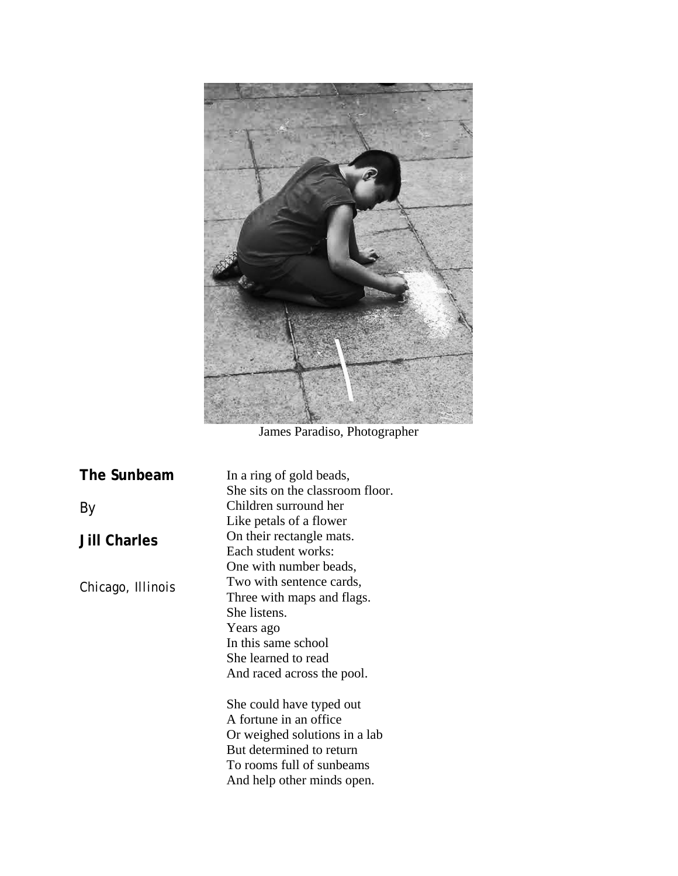

James Paradiso, Photographer

| The Sunbeam         | In a ring of gold beads,<br>She sits on the classroom floor.                                                                                                                |
|---------------------|-----------------------------------------------------------------------------------------------------------------------------------------------------------------------------|
| By                  | Children surround her<br>Like petals of a flower                                                                                                                            |
| <b>Jill Charles</b> | On their rectangle mats.<br>Each student works:<br>One with number beads,                                                                                                   |
| Chicago, Illinois   | Two with sentence cards,<br>Three with maps and flags.<br>She listens.<br>Years ago<br>In this same school<br>She learned to read<br>And raced across the pool.             |
|                     | She could have typed out<br>A fortune in an office.<br>Or weighed solutions in a lab<br>But determined to return<br>To rooms full of sunbeams<br>And help other minds open. |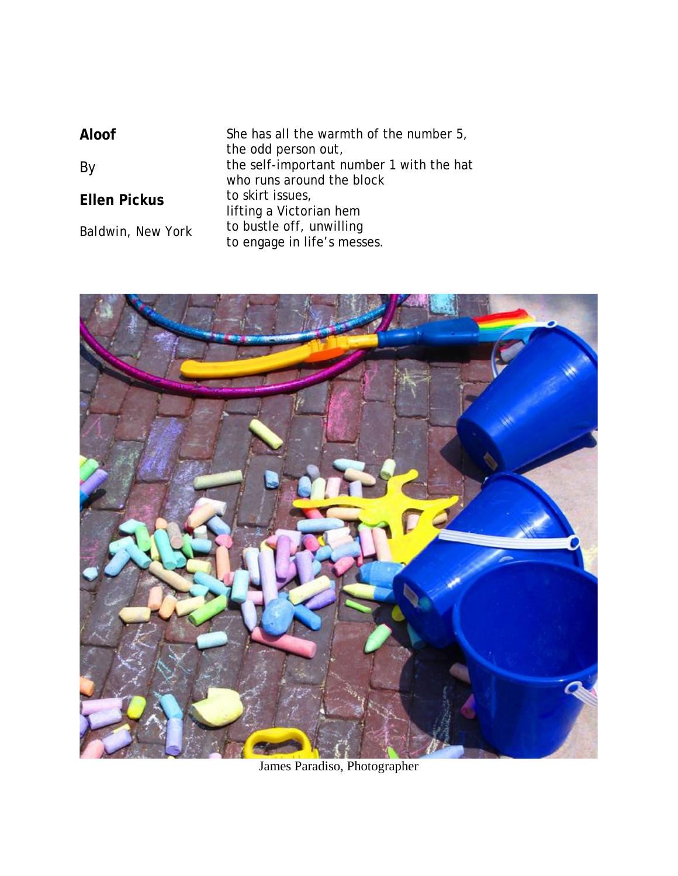| Aloof                    | She has all the warmth of the number 5,<br>the odd person out,<br>the self-important number 1 with the hat<br>who runs around the block<br>to skirt issues,<br>lifting a Victorian hem<br>to bustle off, unwilling<br>to engage in life's messes. |
|--------------------------|---------------------------------------------------------------------------------------------------------------------------------------------------------------------------------------------------------------------------------------------------|
| By                       |                                                                                                                                                                                                                                                   |
| <b>Ellen Pickus</b>      |                                                                                                                                                                                                                                                   |
| <b>Baldwin, New York</b> |                                                                                                                                                                                                                                                   |



James Paradiso, Photographer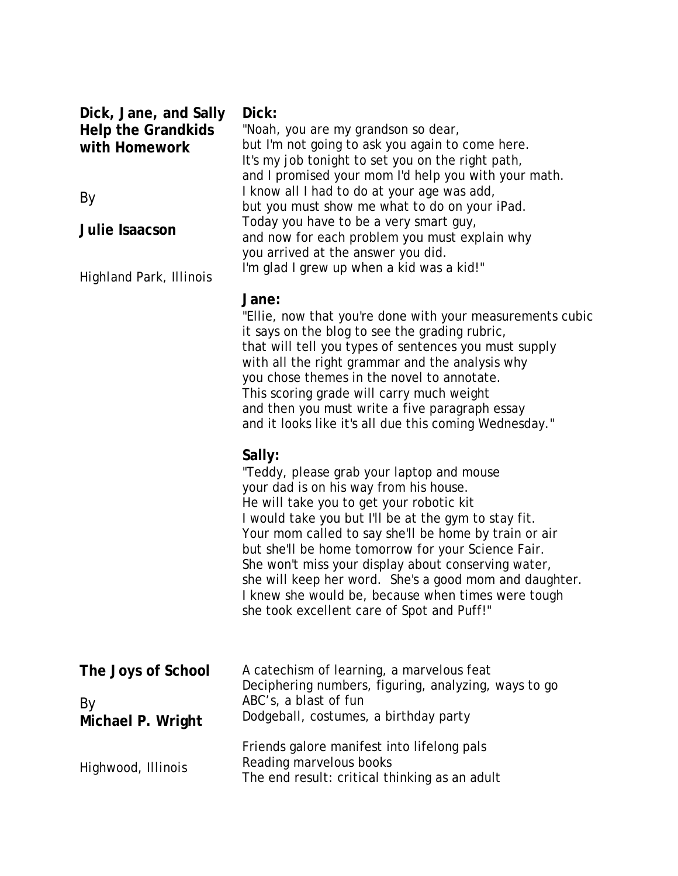| Dick, Jane, and Sally<br><b>Help the Grandkids</b><br>with Homework<br>By<br>Julie Isaacson | Dick:<br>"Noah, you are my grandson so dear,<br>but I'm not going to ask you again to come here.<br>It's my job tonight to set you on the right path,<br>and I promised your mom I'd help you with your math.<br>I know all I had to do at your age was add,<br>but you must show me what to do on your iPad.<br>Today you have to be a very smart guy,<br>and now for each problem you must explain why<br>you arrived at the answer you did.<br>I'm glad I grew up when a kid was a kid!"                                           |
|---------------------------------------------------------------------------------------------|---------------------------------------------------------------------------------------------------------------------------------------------------------------------------------------------------------------------------------------------------------------------------------------------------------------------------------------------------------------------------------------------------------------------------------------------------------------------------------------------------------------------------------------|
| <b>Highland Park, Illinois</b>                                                              | Jane:<br>"Ellie, now that you're done with your measurements cubic<br>it says on the blog to see the grading rubric,<br>that will tell you types of sentences you must supply<br>with all the right grammar and the analysis why<br>you chose themes in the novel to annotate.<br>This scoring grade will carry much weight<br>and then you must write a five paragraph essay<br>and it looks like it's all due this coming Wednesday."                                                                                               |
|                                                                                             | Sally:<br>"Teddy, please grab your laptop and mouse<br>your dad is on his way from his house.<br>He will take you to get your robotic kit<br>I would take you but I'll be at the gym to stay fit.<br>Your mom called to say she'll be home by train or air<br>but she'll be home tomorrow for your Science Fair.<br>She won't miss your display about conserving water,<br>she will keep her word. She's a good mom and daughter.<br>I knew she would be, because when times were tough<br>she took excellent care of Spot and Puff!" |
| The Joys of School<br>By<br>Michael P. Wright                                               | A catechism of learning, a marvelous feat<br>Deciphering numbers, figuring, analyzing, ways to go<br>ABC's, a blast of fun<br>Dodgeball, costumes, a birthday party                                                                                                                                                                                                                                                                                                                                                                   |
| Highwood, Illinois                                                                          | Friends galore manifest into lifelong pals<br>Reading marvelous books<br>The end result: critical thinking as an adult                                                                                                                                                                                                                                                                                                                                                                                                                |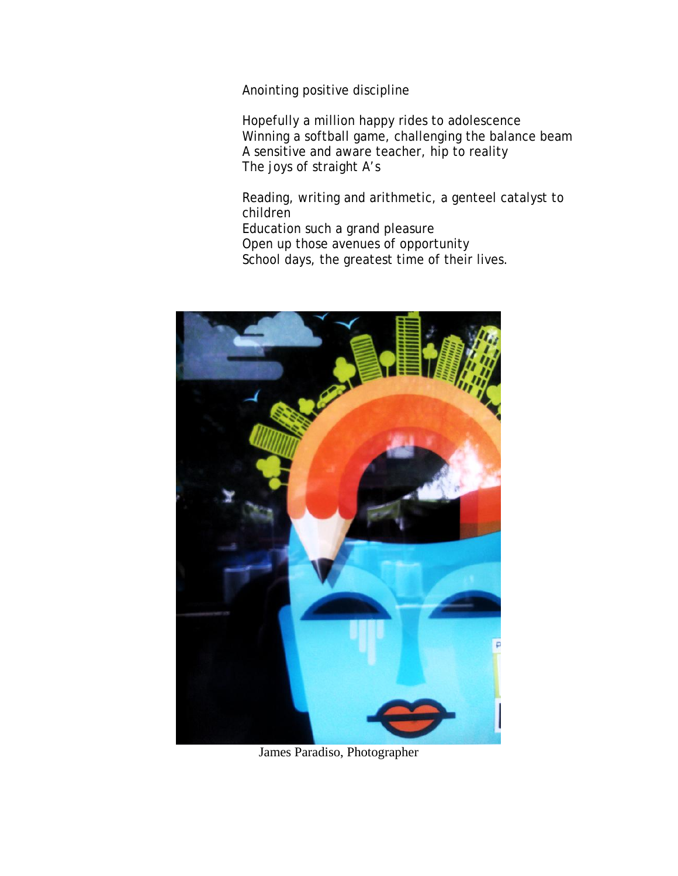Anointing positive discipline

Hopefully a million happy rides to adolescence Winning a softball game, challenging the balance beam A sensitive and aware teacher, hip to reality The joys of straight A's

Reading, writing and arithmetic, a genteel catalyst to children Education such a grand pleasure Open up those avenues of opportunity School days, the greatest time of their lives.



James Paradiso, Photographer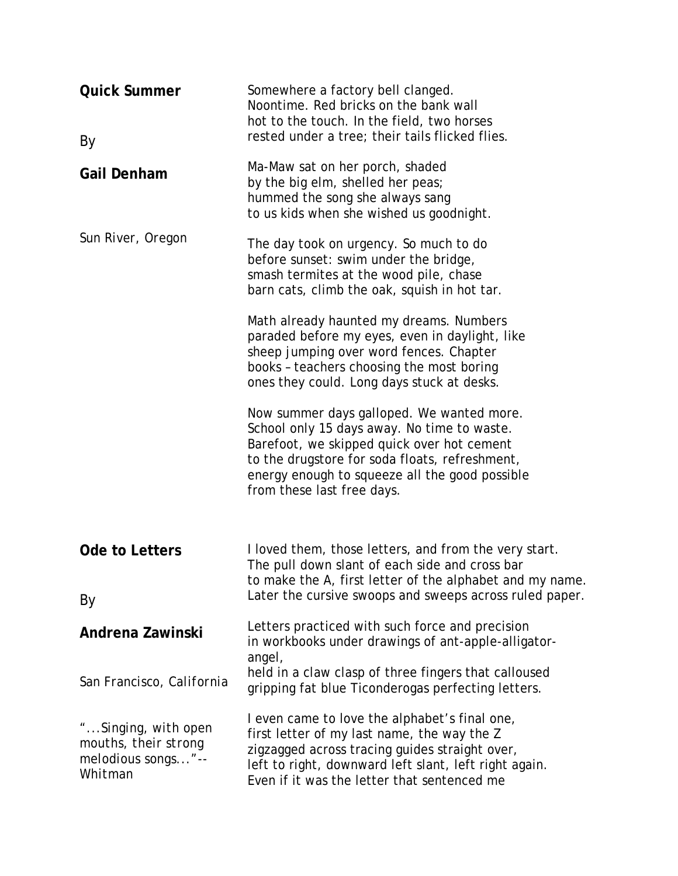| <b>Quick Summer</b><br>By                                                    | Somewhere a factory bell clanged.<br>Noontime. Red bricks on the bank wall<br>hot to the touch. In the field, two horses<br>rested under a tree; their tails flicked flies.                                                                                              |
|------------------------------------------------------------------------------|--------------------------------------------------------------------------------------------------------------------------------------------------------------------------------------------------------------------------------------------------------------------------|
| <b>Gail Denham</b>                                                           | Ma-Maw sat on her porch, shaded<br>by the big elm, shelled her peas;<br>hummed the song she always sang<br>to us kids when she wished us goodnight.                                                                                                                      |
| Sun River, Oregon                                                            | The day took on urgency. So much to do<br>before sunset: swim under the bridge,<br>smash termites at the wood pile, chase<br>barn cats, climb the oak, squish in hot tar.<br>Math already haunted my dreams. Numbers                                                     |
|                                                                              | paraded before my eyes, even in daylight, like<br>sheep jumping over word fences. Chapter<br>books - teachers choosing the most boring<br>ones they could. Long days stuck at desks.                                                                                     |
|                                                                              | Now summer days galloped. We wanted more.<br>School only 15 days away. No time to waste.<br>Barefoot, we skipped quick over hot cement<br>to the drugstore for soda floats, refreshment,<br>energy enough to squeeze all the good possible<br>from these last free days. |
| Ode to Letters                                                               | I loved them, those letters, and from the very start.<br>The pull down slant of each side and cross bar<br>to make the A, first letter of the alphabet and my name.                                                                                                      |
| By                                                                           | Later the cursive swoops and sweeps across ruled paper.                                                                                                                                                                                                                  |
| Andrena Zawinski                                                             | Letters practiced with such force and precision<br>in workbooks under drawings of ant-apple-alligator-<br>angel,                                                                                                                                                         |
| San Francisco, California                                                    | held in a claw clasp of three fingers that calloused<br>gripping fat blue Ticonderogas perfecting letters.                                                                                                                                                               |
| "Singing, with open<br>mouths, their strong<br>melodious songs"--<br>Whitman | I even came to love the alphabet's final one,<br>first letter of my last name, the way the Z<br>zigzagged across tracing guides straight over,<br>left to right, downward left slant, left right again.<br>Even if it was the letter that sentenced me                   |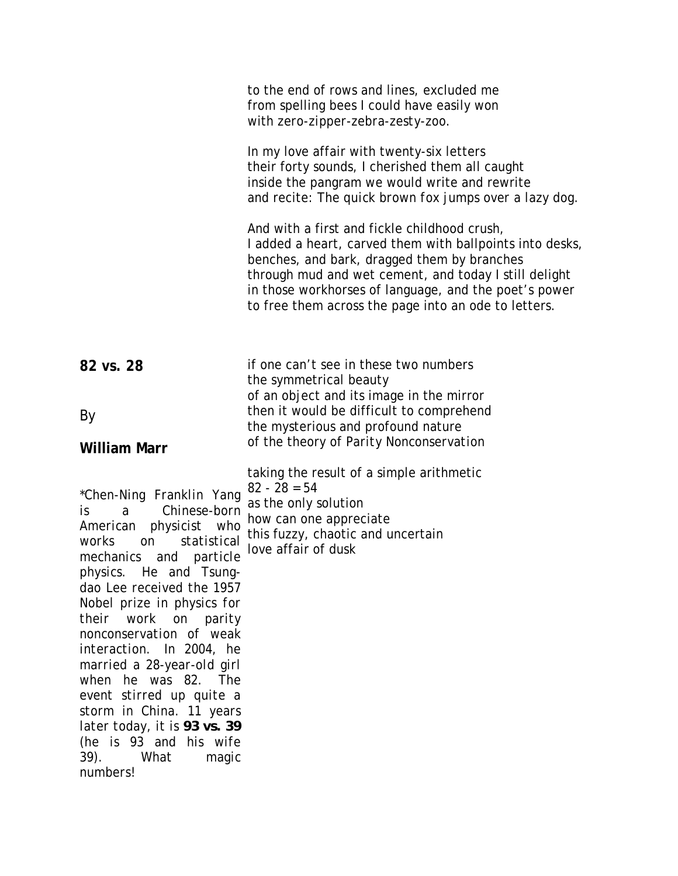|                                                                                                                                                                                                                                                                                                                                                                                                                                                                                                                                      | to the end of rows and lines, excluded me<br>from spelling bees I could have easily won<br>with zero-zipper-zebra-zesty-zoo.                                                                                                                                                                                                      |
|--------------------------------------------------------------------------------------------------------------------------------------------------------------------------------------------------------------------------------------------------------------------------------------------------------------------------------------------------------------------------------------------------------------------------------------------------------------------------------------------------------------------------------------|-----------------------------------------------------------------------------------------------------------------------------------------------------------------------------------------------------------------------------------------------------------------------------------------------------------------------------------|
|                                                                                                                                                                                                                                                                                                                                                                                                                                                                                                                                      | In my love affair with twenty-six letters<br>their forty sounds, I cherished them all caught<br>inside the pangram we would write and rewrite<br>and recite: The quick brown fox jumps over a lazy dog.                                                                                                                           |
|                                                                                                                                                                                                                                                                                                                                                                                                                                                                                                                                      | And with a first and fickle childhood crush,<br>I added a heart, carved them with ballpoints into desks,<br>benches, and bark, dragged them by branches<br>through mud and wet cement, and today I still delight<br>in those workhorses of language, and the poet's power<br>to free them across the page into an ode to letters. |
| 82 vs. 28                                                                                                                                                                                                                                                                                                                                                                                                                                                                                                                            | if one can't see in these two numbers<br>the symmetrical beauty<br>of an object and its image in the mirror                                                                                                                                                                                                                       |
| By                                                                                                                                                                                                                                                                                                                                                                                                                                                                                                                                   | then it would be difficult to comprehend<br>the mysterious and profound nature                                                                                                                                                                                                                                                    |
| <b>William Marr</b>                                                                                                                                                                                                                                                                                                                                                                                                                                                                                                                  | of the theory of Parity Nonconservation                                                                                                                                                                                                                                                                                           |
| *Chen-Ning Franklin Yang<br>Chinese-born<br>$\partial$<br>is<br>American physicist who<br>statistical<br>works<br>on<br>mechanics and particle<br>He and Tsung-<br>physics.<br>dao Lee received the 1957<br>Nobel prize in physics for<br>their<br>work on parity<br>nonconservation of weak<br>interaction. In 2004, he<br>married a 28-year-old girl<br>when he was 82. The<br>event stirred up quite a<br>storm in China. 11 years<br>later today, it is 93 vs. 39<br>(he is 93 and his wife<br>39).<br>What<br>magic<br>numbers! | taking the result of a simple arithmetic<br>$82 - 28 = 54$<br>as the only solution<br>how can one appreciate<br>this fuzzy, chaotic and uncertain<br>love affair of dusk                                                                                                                                                          |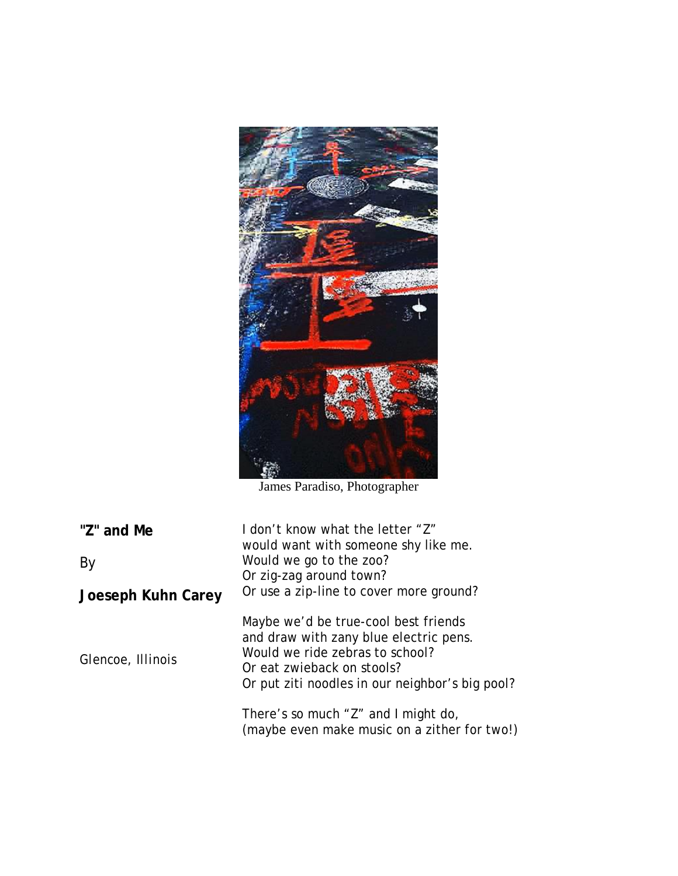

James Paradiso, Photographer

| "Z" and Me<br>By   | I don't know what the letter "Z"<br>would want with someone shy like me.<br>Would we go to the zoo?<br>Or zig-zag around town?<br>Or use a zip-line to cover more ground?                          |
|--------------------|----------------------------------------------------------------------------------------------------------------------------------------------------------------------------------------------------|
| Joeseph Kuhn Carey |                                                                                                                                                                                                    |
| Glencoe, Illinois  | Maybe we'd be true-cool best friends<br>and draw with zany blue electric pens.<br>Would we ride zebras to school?<br>Or eat zwieback on stools?<br>Or put ziti noodles in our neighbor's big pool? |
|                    | There's so much "Z" and I might do,<br>(maybe even make music on a zither for two!)                                                                                                                |
|                    |                                                                                                                                                                                                    |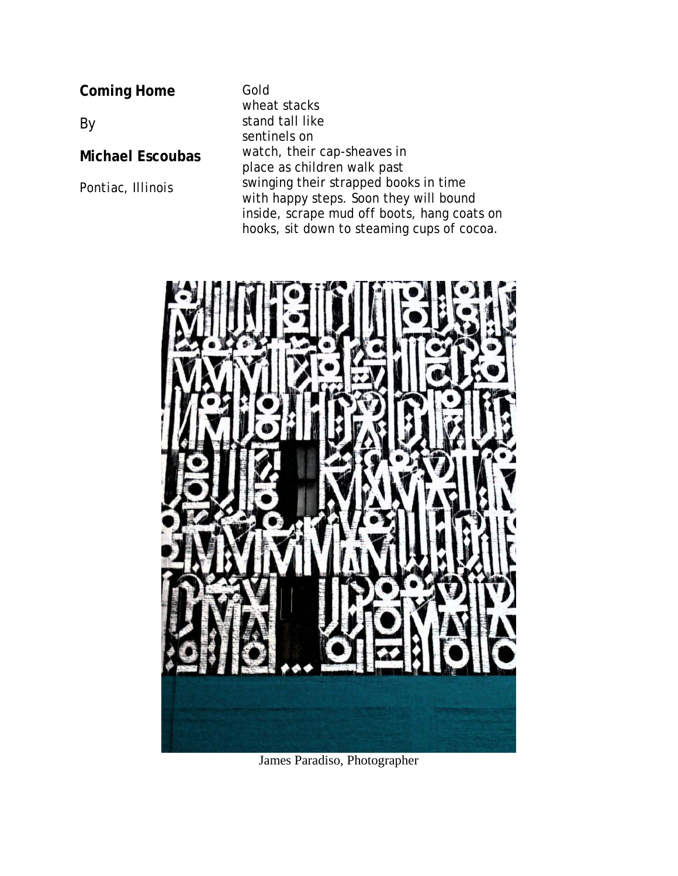**Coming Home**

By

**Michael Escoubas**

*Pontiac, Illinois*

Gold wheat stacks stand tall like sentinels on watch, their cap-sheaves in place as children walk past swinging their strapped books in time with happy steps. Soon they will bound inside, scrape mud off boots, hang coats on hooks, sit down to steaming cups of cocoa.



James Paradiso, Photographer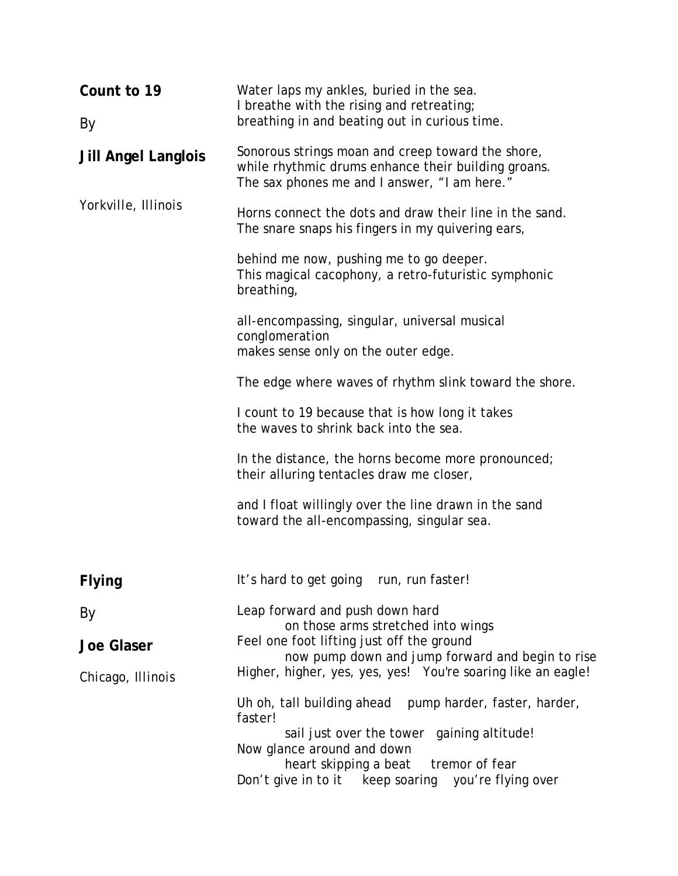| Count to 19                | Water laps my ankles, buried in the sea.<br>I breathe with the rising and retreating;                                                                    |
|----------------------------|----------------------------------------------------------------------------------------------------------------------------------------------------------|
| By                         | breathing in and beating out in curious time.                                                                                                            |
| <b>Jill Angel Langlois</b> | Sonorous strings moan and creep toward the shore,<br>while rhythmic drums enhance their building groans.<br>The sax phones me and I answer, "I am here." |
| Yorkville, Illinois        | Horns connect the dots and draw their line in the sand.<br>The snare snaps his fingers in my quivering ears,                                             |
|                            | behind me now, pushing me to go deeper.<br>This magical cacophony, a retro-futuristic symphonic<br>breathing,                                            |
|                            | all-encompassing, singular, universal musical<br>conglomeration<br>makes sense only on the outer edge.                                                   |
|                            | The edge where waves of rhythm slink toward the shore.                                                                                                   |
|                            | I count to 19 because that is how long it takes<br>the waves to shrink back into the sea.                                                                |
|                            | In the distance, the horns become more pronounced;<br>their alluring tentacles draw me closer,                                                           |
|                            | and I float willingly over the line drawn in the sand<br>toward the all-encompassing, singular sea.                                                      |
| Flying                     | It's hard to get going run, run faster!                                                                                                                  |
| By                         | Leap forward and push down hard<br>on those arms stretched into wings                                                                                    |
| <b>Joe Glaser</b>          | Feel one foot lifting just off the ground<br>now pump down and jump forward and begin to rise                                                            |
| Chicago, Illinois          | Higher, higher, yes, yes, yes! You're soaring like an eagle!                                                                                             |
|                            | Uh oh, tall building ahead<br>pump harder, faster, harder,<br>faster!<br>sail just over the tower gaining altitude!                                      |
|                            | Now glance around and down<br>heart skipping a beat<br>tremor of fear                                                                                    |
|                            | Don't give in to it<br>keep soaring<br>you're flying over                                                                                                |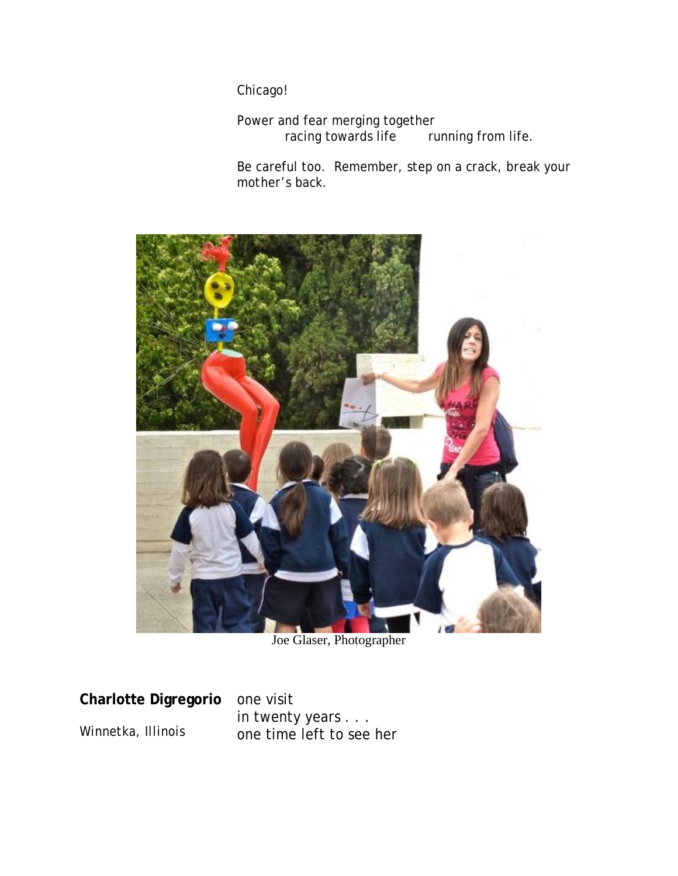Chicago!

Power and fear merging together<br>racing towards life ru running from life.

Be careful too. Remember, *step on a crack, break your mother's back*.



Joe Glaser, Photographer

**Charlotte Digregorio** *Winnetka, Illinois*

one visit in twenty years . . . one time left to see her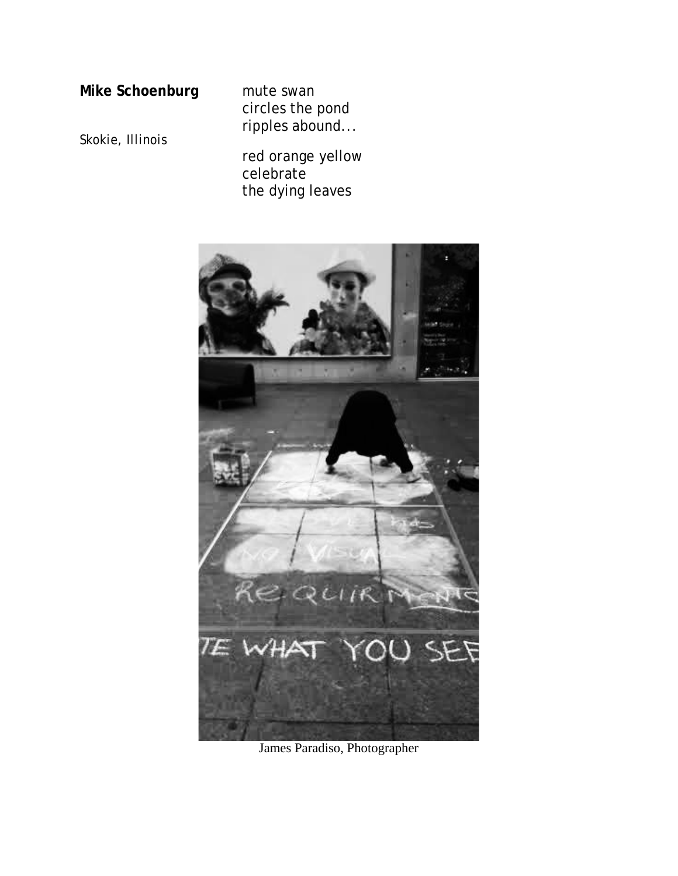### **Mike Schoenburg**

mute swan circles the pond ripples abound...

*Skokie, Illinois*

red orange yellow celebrate the dying leaves



James Paradiso, Photographer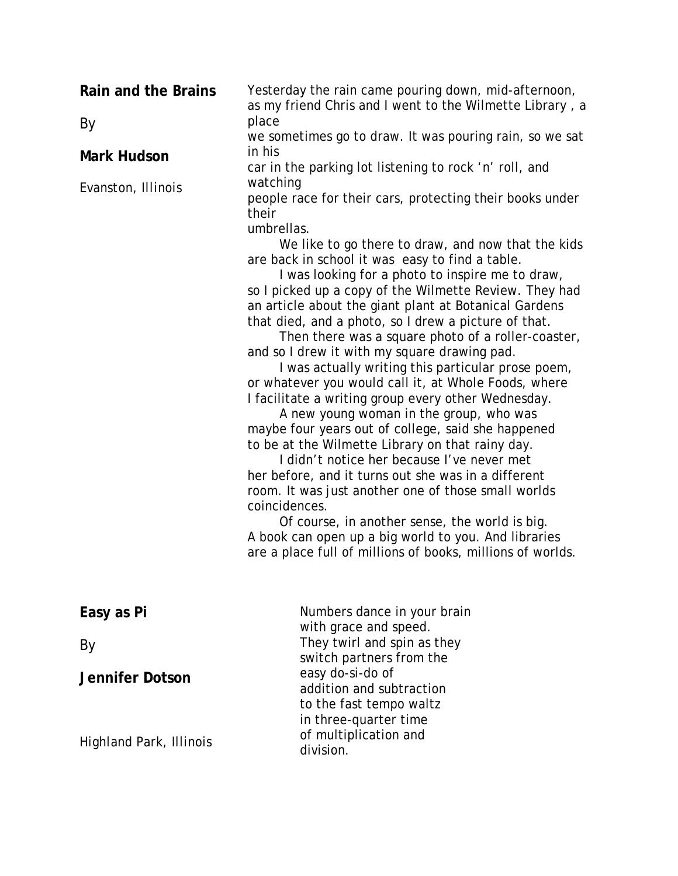| Rain and the Brains            | Yesterday the rain came pouring down, mid-afternoon,<br>as my friend Chris and I went to the Wilmette Library, a                                                                                                                                                                                                                                                                                                                                                                                                                                                                                                                                                                                                                                                                                                                                                                                                                                                                                                                                                                                                                                                                                                                                                                             |
|--------------------------------|----------------------------------------------------------------------------------------------------------------------------------------------------------------------------------------------------------------------------------------------------------------------------------------------------------------------------------------------------------------------------------------------------------------------------------------------------------------------------------------------------------------------------------------------------------------------------------------------------------------------------------------------------------------------------------------------------------------------------------------------------------------------------------------------------------------------------------------------------------------------------------------------------------------------------------------------------------------------------------------------------------------------------------------------------------------------------------------------------------------------------------------------------------------------------------------------------------------------------------------------------------------------------------------------|
| By                             | place<br>we sometimes go to draw. It was pouring rain, so we sat                                                                                                                                                                                                                                                                                                                                                                                                                                                                                                                                                                                                                                                                                                                                                                                                                                                                                                                                                                                                                                                                                                                                                                                                                             |
| <b>Mark Hudson</b>             | in his<br>car in the parking lot listening to rock 'n' roll, and<br>watching<br>people race for their cars, protecting their books under<br>their<br>umbrellas.<br>We like to go there to draw, and now that the kids<br>are back in school it was easy to find a table.<br>I was looking for a photo to inspire me to draw,<br>so I picked up a copy of the Wilmette Review. They had<br>an article about the giant plant at Botanical Gardens<br>that died, and a photo, so I drew a picture of that.<br>Then there was a square photo of a roller-coaster,<br>and so I drew it with my square drawing pad.<br>I was actually writing this particular prose poem,<br>or whatever you would call it, at Whole Foods, where<br>I facilitate a writing group every other Wednesday.<br>A new young woman in the group, who was<br>maybe four years out of college, said she happened<br>to be at the Wilmette Library on that rainy day.<br>I didn't notice her because I've never met<br>her before, and it turns out she was in a different<br>room. It was just another one of those small worlds<br>coincidences.<br>Of course, in another sense, the world is big.<br>A book can open up a big world to you. And libraries<br>are a place full of millions of books, millions of worlds. |
| Evanston, Illinois             |                                                                                                                                                                                                                                                                                                                                                                                                                                                                                                                                                                                                                                                                                                                                                                                                                                                                                                                                                                                                                                                                                                                                                                                                                                                                                              |
| Easy as Pi                     | Numbers dance in your brain<br>with grace and speed.                                                                                                                                                                                                                                                                                                                                                                                                                                                                                                                                                                                                                                                                                                                                                                                                                                                                                                                                                                                                                                                                                                                                                                                                                                         |
| By                             | They twirl and spin as they<br>switch partners from the                                                                                                                                                                                                                                                                                                                                                                                                                                                                                                                                                                                                                                                                                                                                                                                                                                                                                                                                                                                                                                                                                                                                                                                                                                      |
| <b>Jennifer Dotson</b>         | easy do-si-do of<br>addition and subtraction<br>to the fast tempo waltz<br>in three-quarter time                                                                                                                                                                                                                                                                                                                                                                                                                                                                                                                                                                                                                                                                                                                                                                                                                                                                                                                                                                                                                                                                                                                                                                                             |
| <b>Highland Park, Illinois</b> | of multiplication and<br>division.                                                                                                                                                                                                                                                                                                                                                                                                                                                                                                                                                                                                                                                                                                                                                                                                                                                                                                                                                                                                                                                                                                                                                                                                                                                           |